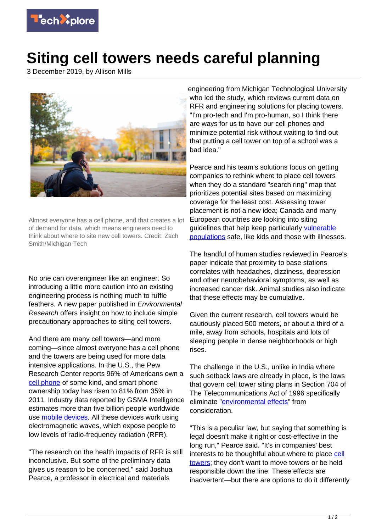

## **Siting cell towers needs careful planning**

3 December 2019, by Allison Mills



Almost everyone has a cell phone, and that creates a lot of demand for data, which means engineers need to think about where to site new cell towers. Credit: Zach Smith/Michigan Tech

No one can overengineer like an engineer. So introducing a little more caution into an existing engineering process is nothing much to ruffle feathers. A new paper published in Environmental Research offers insight on how to include simple precautionary approaches to siting cell towers.

And there are many cell towers—and more coming—since almost everyone has a cell phone and the towers are being used for more data intensive applications. In the U.S., the Pew Research Center reports 96% of Americans own a [cell phone](https://techxplore.com/tags/cell+phone/) of some kind, and smart phone ownership today has risen to 81% from 35% in 2011. Industry data reported by GSMA Intelligence estimates more than five billion people worldwide use [mobile devices.](https://techxplore.com/tags/mobile+devices/) All these devices work using electromagnetic waves, which expose people to low levels of radio-frequency radiation (RFR).

"The research on the health impacts of RFR is still inconclusive. But some of the preliminary data gives us reason to be concerned," said Joshua Pearce, a professor in electrical and materials

engineering from Michigan Technological University who led the study, which reviews current data on RFR and engineering solutions for placing towers. "I'm pro-tech and I'm pro-human, so I think there are ways for us to have our cell phones and minimize potential risk without waiting to find out that putting a cell tower on top of a school was a bad idea."

Pearce and his team's solutions focus on getting companies to rethink where to place cell towers when they do a standard "search ring" map that prioritizes potential sites based on maximizing coverage for the least cost. Assessing tower placement is not a new idea; Canada and many European countries are looking into siting guidelines that help keep particularly [vulnerable](https://techxplore.com/tags/vulnerable+populations/) [populations](https://techxplore.com/tags/vulnerable+populations/) safe, like kids and those with illnesses.

The handful of human studies reviewed in Pearce's paper indicate that proximity to base stations correlates with headaches, dizziness, depression and other neurobehavioral symptoms, as well as increased cancer risk. Animal studies also indicate that these effects may be cumulative.

Given the current research, cell towers would be cautiously placed 500 meters, or about a third of a mile, away from schools, hospitals and lots of sleeping people in dense neighborhoods or high rises.

The challenge in the U.S., unlike in India where such setback laws are already in place, is the laws that govern cell tower siting plans in Section 704 of The Telecommunications Act of 1996 specifically eliminate ["environmental effects"](https://techxplore.com/tags/environmental+effects/) from consideration.

"This is a peculiar law, but saying that something is legal doesn't make it right or cost-effective in the long run," Pearce said. "It's in companies' best interests to be thoughtful about where to place [cell](https://techxplore.com/tags/cell+towers/) [towers;](https://techxplore.com/tags/cell+towers/) they don't want to move towers or be held responsible down the line. These effects are inadvertent—but there are options to do it differently